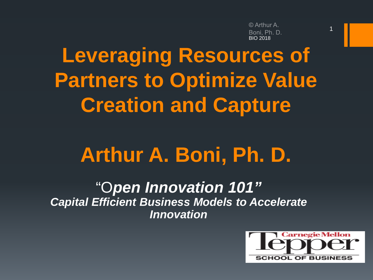© Arthur A. Boni. Ph. D. BIO 2018

1

# **Leveraging Resources of Partners to Optimize Value Creation and Capture**

# **Arthur A. Boni, Ph. D.**

"O*pen Innovation 101" Capital Efficient Business Models to Accelerate Innovation*

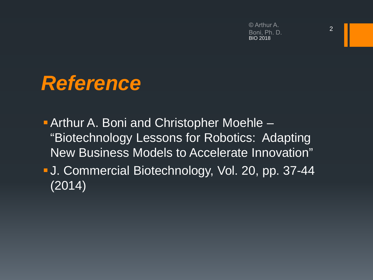© Arthur A. Boni, Ph. D. BIO 2018

## *Reference*

**Arthur A. Boni and Christopher Moehle –** "Biotechnology Lessons for Robotics: Adapting New Business Models to Accelerate Innovation"

 J. Commercial Biotechnology, Vol. 20, pp. 37-44  $(2014)$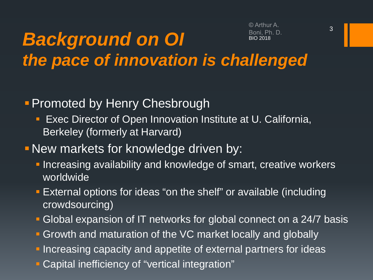#### *Background on OI* Boni Ph D. BIO 2018 *the pace of innovation is challenged*

#### **- Promoted by Henry Chesbrough**

- **Exec Director of Open Innovation Institute at U. California,** Berkeley (formerly at Harvard)
- New markets for knowledge driven by:
	- **Increasing availability and knowledge of smart, creative workers** worldwide
	- External options for ideas "on the shelf" or available (including crowdsourcing)
	- Global expansion of IT networks for global connect on a 24/7 basis
	- **Growth and maturation of the VC market locally and globally**
	- **Increasing capacity and appetite of external partners for ideas**
	- Capital inefficiency of "vertical integration"

© Arthur A.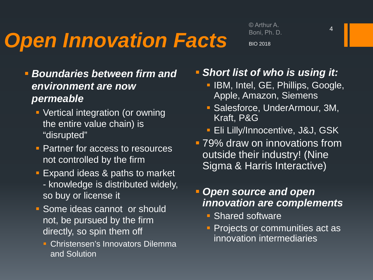# *Open Innovation Facts*

© Arthur A. Boni, Ph. D. BIO 2018

- *Boundaries between firm and environment are now permeable*
	- Vertical integration (or owning the entire value chain) is "disrupted"
	- **Partner for access to resources** not controlled by the firm
	- **Expand ideas & paths to market** - knowledge is distributed widely, so buy or license it
	- **Some ideas cannot or should** not, be pursued by the firm directly, so spin them off
		- **Christensen's Innovators Dilemma** and Solution
- *Short list of who is using it:*
	- **IBM, Intel, GE, Phillips, Google,** Apple, Amazon, Siemens
	- Salesforce, UnderArmour, 3M, Kraft, P&G
	- **Eli Lilly/Innocentive, J&J, GSK**
- **79% draw on innovations from** outside their industry! (Nine Sigma & Harris Interactive)

#### *Open source and open innovation are complements*

- **Shared software**
- **Projects or communities act as** innovation intermediaries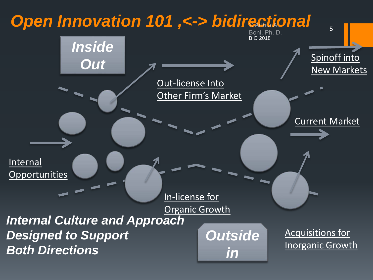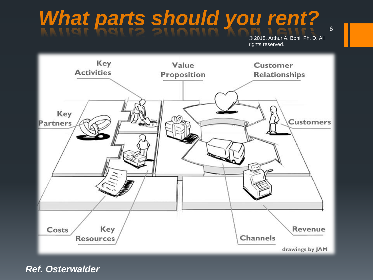# What parts should you rent?

© 2018, Arthur A. Boni, Ph. D. All rights reserved.



*Ref. Osterwalder*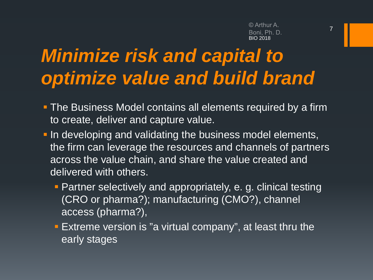## *Minimize risk and capital to optimize value and build brand*

- **The Business Model contains all elements required by a firm** to create, deliver and capture value.
- **In developing and validating the business model elements,** the firm can leverage the resources and channels of partners across the value chain, and share the value created and delivered with others.
	- **Partner selectively and appropriately, e. g. clinical testing** (CRO or pharma?); manufacturing (CMO?), channel access (pharma?),
	- **Extreme version is "a virtual company", at least thru the** early stages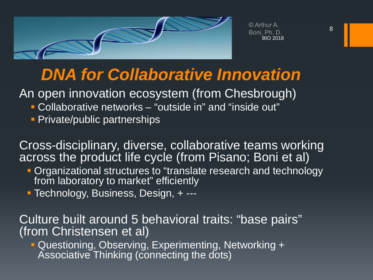

© Arthur A. Boni, Ph. D. BIO 2018

#### *DNA for Collaborative Innovation*

An open innovation ecosystem (from Chesbrough)

- Collaborative networks "outside in" and "inside out"
- **Private/public partnerships**

Cross-disciplinary, diverse, collaborative teams working across the product life cycle (from Pisano; Boni et al)

- **Organizational structures to "translate research and technology** from laboratory to market" efficiently
- Technology, Business, Design, + ---

Culture built around 5 behavioral traits: "base pairs" (from Christensen et al)

 Questioning, Observing, Experimenting, Networking + Associative Thinking (connecting the dots)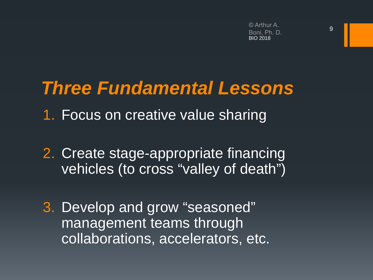## *Three Fundamental Lessons*

- 1. Focus on creative value sharing
- 2. Create stage-appropriate financing vehicles (to cross "valley of death")
- 3. Develop and grow "seasoned" management teams through collaborations, accelerators, etc.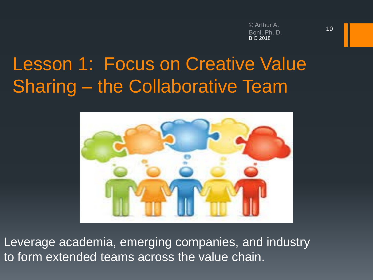## Lesson 1: Focus on Creative Value Sharing – the Collaborative Team



Leverage academia, emerging companies, and industry to form extended teams across the value chain.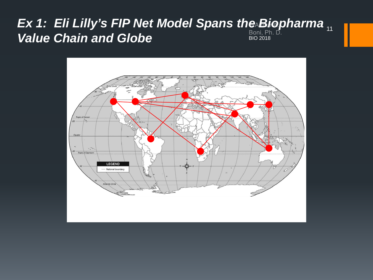#### *Ex 1: Eli Lilly's FIP Net Model Spans the Biopharma*  11**Value Chain and Globe** BIO 2018

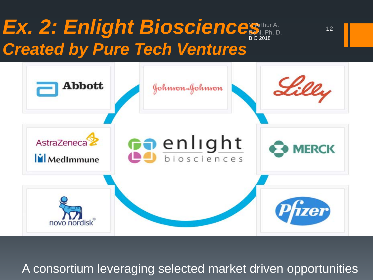## Ex. 2: Enlight Bioscience *Created by Pure Tech Ventures*



A consortium leveraging selected market driven opportunities

12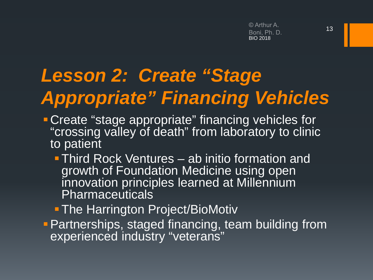# *Lesson 2: Create "Stage Appropriate" Financing Vehicles*

- **Create "stage appropriate" financing vehicles for** "crossing valley of death" from laboratory to clinic to patient
	- **Third Rock Ventures ab initio formation and** growth of Foundation Medicine using open innovation principles learned at Millennium Pharmaceuticals
	- **The Harrington Project/BioMotiv**
- **Partnerships, staged financing, team building from** experienced industry "veterans"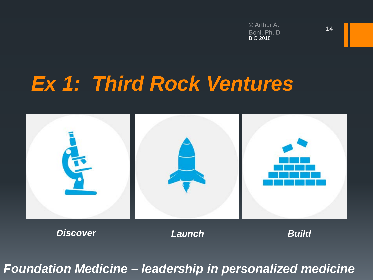# *Ex 1: Third Rock Ventures*



*Foundation Medicine – leadership in personalized medicine*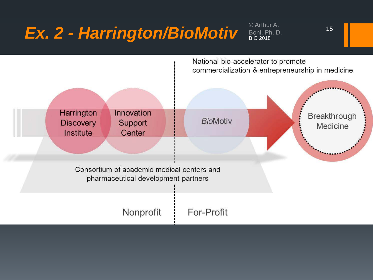# Ex. 2 - Harrington/BioMotiv Boni, Ph. D.

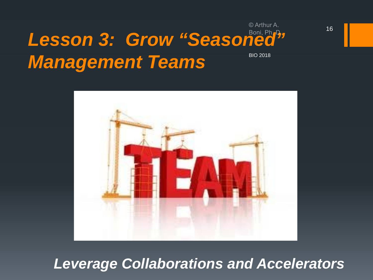#### *Lesson 3: Grow "Seasoned" Management Teams* BIO 2018



#### *Leverage Collaborations and Accelerators*

© Arthur A.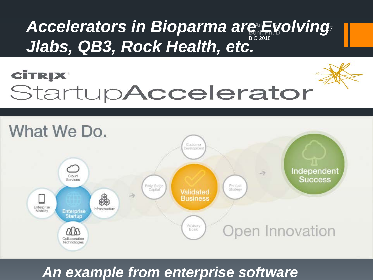#### **Jlabs, QB3, Rock Health, etc.** BIO 2018 17 *Accelerators in Bioparma are Evolving*

## **CİTRIX®** StartupAccelerator



#### *An example from enterprise software*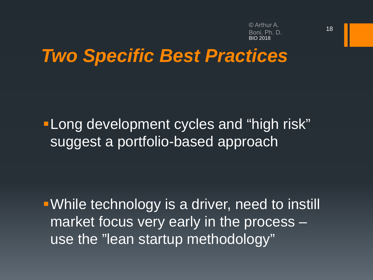© Arthur A. BIO 2018

## *Two Specific Best Practices*

**-Long development cycles and "high risk"** suggest a portfolio-based approach

While technology is a driver, need to instill market focus very early in the process – use the "lean startup methodology"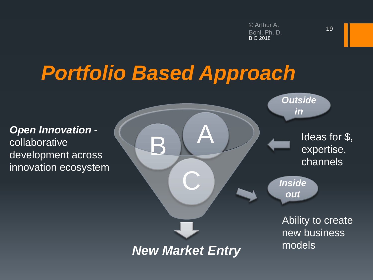# *Portfolio Based Approach*

collaborative innovation ecosystem

*New Market Entry* C **Open Innovation - Collaborative BA**<br>development across *Outside in Inside out* Ideas for \$, expertise, channels Ability to create new business models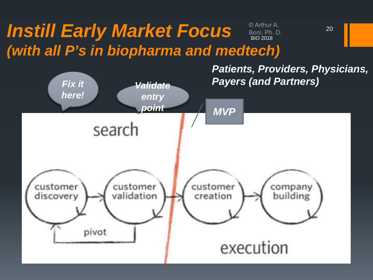#### *Instill Early Market Focus*  © Arthur A. Boni, Ph. D.<br>BIO 2018 *(with all P's in biopharma and medtech)*



20